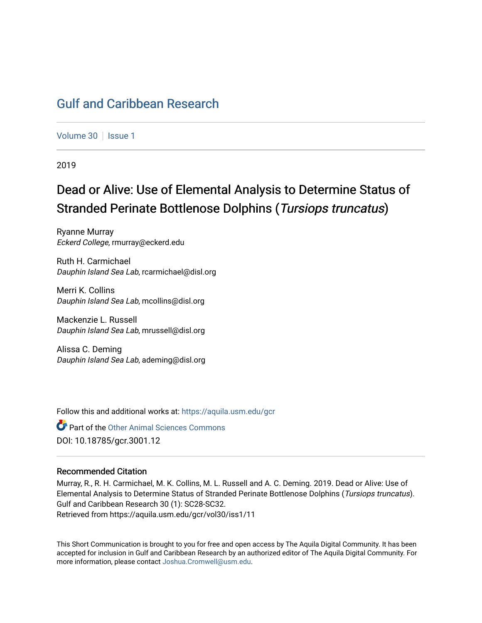### [Gulf and Caribbean Research](https://aquila.usm.edu/gcr)

[Volume 30](https://aquila.usm.edu/gcr/vol30) | [Issue 1](https://aquila.usm.edu/gcr/vol30/iss1)

2019

## Dead or Alive: Use of Elemental Analysis to Determine Status of Stranded Perinate Bottlenose Dolphins (Tursiops truncatus)

Ryanne Murray Eckerd College, rmurray@eckerd.edu

Ruth H. Carmichael Dauphin Island Sea Lab, rcarmichael@disl.org

Merri K. Collins Dauphin Island Sea Lab, mcollins@disl.org

Mackenzie L. Russell Dauphin Island Sea Lab, mrussell@disl.org

Alissa C. Deming Dauphin Island Sea Lab, ademing@disl.org

Follow this and additional works at: [https://aquila.usm.edu/gcr](https://aquila.usm.edu/gcr?utm_source=aquila.usm.edu%2Fgcr%2Fvol30%2Fiss1%2F11&utm_medium=PDF&utm_campaign=PDFCoverPages) 

Part of the [Other Animal Sciences Commons](http://network.bepress.com/hgg/discipline/82?utm_source=aquila.usm.edu%2Fgcr%2Fvol30%2Fiss1%2F11&utm_medium=PDF&utm_campaign=PDFCoverPages) DOI: 10.18785/gcr.3001.12

#### Recommended Citation

Murray, R., R. H. Carmichael, M. K. Collins, M. L. Russell and A. C. Deming. 2019. Dead or Alive: Use of Elemental Analysis to Determine Status of Stranded Perinate Bottlenose Dolphins (Tursiops truncatus). Gulf and Caribbean Research 30 (1): SC28-SC32. Retrieved from https://aquila.usm.edu/gcr/vol30/iss1/11

This Short Communication is brought to you for free and open access by The Aquila Digital Community. It has been accepted for inclusion in Gulf and Caribbean Research by an authorized editor of The Aquila Digital Community. For more information, please contact [Joshua.Cromwell@usm.edu.](mailto:Joshua.Cromwell@usm.edu)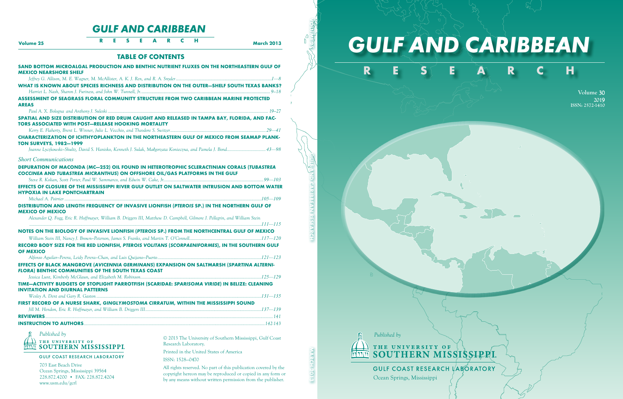# *GULF AND CARIBBEAN*



**Volume** 30 **201**9 **ISSN: 2572-1410**



THE UNIVERSITY OF THE UNIVERSITY OF THE SOUTHERN MISSISSIPPLE

**GULF COAST RESEARCH LABORATORY** 

Ocean Springs, Mississippi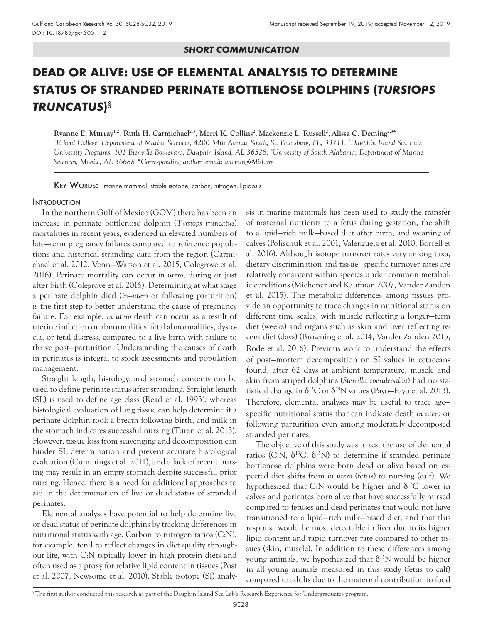#### *SHORT COMMUNICATION*

## DEAD OR ALIVE: USE OF ELEMENTAL ANALYSIS TO DETERMINE STATUS OF STRANDED PERINATE BOTTLENOSE DOLPHINS (*TURSIOPS TRUNCATUS*)§

**Ryanne E. Murray1,2, Ruth H. Carmichael2,3, Merri K. Collins2 , Mackenzie L. Russell2 ,Alissa C. Deming2,3\*** *1 Eckerd College, Department of Marine Sciences, 4200 54th Avenue South, St. Petersburg, FL, 33711; 2 Dauphin Island Sea Lab, University Programs, 101 Bienville Boulevard, Dauphin Island, AL 36528; 3 University of South Alabama, Department of Marine Sciences, Mobile, AL 36688 \*Corresponding author, email: ademing@disl.org*

KEY WORDS: marine mammal, stable isotope, carbon, nitrogen, lipidosis

#### **INTRODUCTION**

In the northern Gulf of Mexico (GOM) there has been an increase in perinate bottlenose dolphin (*Tursiops truncatus*) mortalities in recent years, evidenced in elevated numbers of late—term pregnancy failures compared to reference populations and historical stranding data from the region (Carmichael et al. 2012, Venn—Watson et al. 2015, Colegrove et al. 2016). Perinate mortality can occur *in utero*, during or just after birth (Colegrove et al. 2016). Determining at what stage a perinate dolphin died (*in—utero* or following parturition) is the first step to better understand the cause of pregnancy failure. For example, *in utero* death can occur as a result of uterine infection or abnormalities, fetal abnormalities, dystocia, or fetal distress, compared to a live birth with failure to thrive post—parturition. Understanding the causes of death in perinates is integral to stock assessments and population management.

Straight length, histology, and stomach contents can be used to define perinate status after stranding. Straight length (SL) is used to define age class (Read et al. 1993), whereas histological evaluation of lung tissue can help determine if a perinate dolphin took a breath following birth, and milk in the stomach indicates successful nursing (Turan et al. 2013). However, tissue loss from scavenging and decomposition can hinder SL determination and prevent accurate histological evaluation (Cummings et al. 2011), and a lack of recent nursing may result in an empty stomach despite successful prior nursing. Hence, there is a need for additional approaches to aid in the determination of live or dead status of stranded perinates.

Elemental analyses have potential to help determine live or dead status of perinate dolphins by tracking differences in nutritional status with age. Carbon to nitrogen ratios (C:N), for example, tend to reflect changes in diet quality throughout life, with C:N typically lower in high protein diets and often used as a proxy for relative lipid content in tissues (Post et al. 2007, Newsome et al. 2010). Stable isotope (SI) analysis in marine mammals has been used to study the transfer of maternal nutrients to a fetus during gestation, the shift to a lipid—rich milk—based diet after birth, and weaning of calves (Polischuk et al. 2001, Valenzuela et al. 2010, Borrell et al. 2016). Although isotope turnover rates vary among taxa, dietary discrimination and tissue—specific turnover rates are relatively consistent within species under common metabolic conditions (Michener and Kaufman 2007, Vander Zanden et al. 2015). The metabolic differences among tissues provide an opportunity to trace changes in nutritional status on different time scales, with muscle reflecting a longer—term diet (weeks) and organs such as skin and liver reflecting recent diet (days) (Browning et al. 2014, Vander Zanden 2015, Rode et al. 2016). Previous work to understand the effects of post—mortem decomposition on SI values in cetaceans found, after 62 days at ambient temperature, muscle and skin from striped dolphins (*Stenella coeruleoalba*) had no statistical change in  $\delta^{13}$ C or  $\delta^{15}$ N values (Payo-Payo et al. 2013). Therefore, elemental analyses may be useful to trace age specific nutritional status that can indicate death *in utero* or following parturition even among moderately decomposed stranded perinates.

The objective of this study was to test the use of elemental ratios (C:N,  $\delta^{13}C$ ,  $\delta^{15}N$ ) to determine if stranded perinate bottlenose dolphins were born dead or alive based on expected diet shifts from *in utero* (fetus) to nursing (calf). We hypothesized that C:N would be higher and  $\delta^{13}C$  lower in calves and perinates born alive that have successfully nursed compared to fetuses and dead perinates that would not have transitioned to a lipid—rich milk—based diet, and that this response would be most detectable in liver due to its higher lipid content and rapid turnover rate compared to other tissues (skin, muscle). In addition to these differences among young animals, we hypothesized that  $\delta^{15}N$  would be higher in all young animals measured in this study (fetus to calf) compared to adults due to the maternal contribution to food

<sup>§</sup> The first author conducted this research as part of the Dauphin Island Sea Lab's Research Experience for Undergraduates program.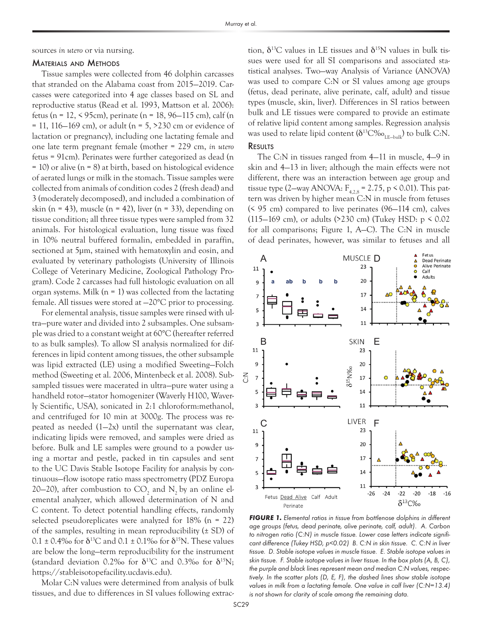sources *in utero* or via nursing.

#### Materials and Methods

Tissue samples were collected from 46 dolphin carcasses that stranded on the Alabama coast from 2015—2019. Carcasses were categorized into 4 age classes based on SL and reproductive status (Read et al. 1993, Mattson et al. 2006): fetus (n = 12, < 95cm), perinate (n = 18, 96—115 cm), calf (n  $= 11, 116 - 169$  cm), or adult (n  $= 5, 5230$  cm or evidence of lactation or pregnancy), including one lactating female and one late term pregnant female (mother = 229 cm, *in utero* fetus = 91cm). Perinates were further categorized as dead (n = 10) or alive (n = 8) at birth, based on histological evidence of aerated lungs or milk in the stomach. Tissue samples were collected from animals of condition codes 2 (fresh dead) and 3 (moderately decomposed), and included a combination of skin (n = 43), muscle (n = 42), liver (n = 33), depending on tissue condition; all three tissue types were sampled from 32 animals. For histological evaluation, lung tissue was fixed in 10% neutral buffered formalin, embedded in paraffin, sectioned at 5µm, stained with hematoxylin and eosin, and evaluated by veterinary pathologists (University of Illinois College of Veterinary Medicine, Zoological Pathology Program). Code 2 carcasses had full histologic evaluation on all organ systems. Milk  $(n = 1)$  was collected from the lactating female. All tissues were stored at —20°C prior to processing.

For elemental analysis, tissue samples were rinsed with ultra—pure water and divided into 2 subsamples. One subsample was dried to a constant weight at 60°C (hereafter referred to as bulk samples). To allow SI analysis normalized for differences in lipid content among tissues, the other subsample was lipid extracted (LE) using a modified Sweeting—Folch method (Sweeting et al. 2006, Mintenbeck et al. 2008). Subsampled tissues were macerated in ultra—pure water using a handheld rotor—stator homogenizer (Waverly H100, Waverly Scientific, USA), sonicated in 2:1 chloroform:methanol, and centrifuged for 10 min at 3000g. The process was repeated as needed (1—2x) until the supernatant was clear, indicating lipids were removed, and samples were dried as before. Bulk and LE samples were ground to a powder using a mortar and pestle, packed in tin capsules and sent to the UC Davis Stable Isotope Facility for analysis by continuous—flow isotope ratio mass spectrometry (PDZ Europa 20–20), after combustion to  $CO_2$  and  $N_2$  by an online elemental analyzer, which allowed determination of N and C content. To detect potential handling effects, randomly selected pseudoreplicates were analyzed for  $18\%$  (n = 22) of the samples, resulting in mean reproducibility  $(\pm SD)$  of  $0.1 \pm 0.4\%$  for  $\delta^{13}C$  and  $0.1 \pm 0.1\%$  for  $\delta^{15}N$ . These values are below the long—term reproducibility for the instrument (standard deviation 0.2‰ for  $\delta^{13}C$  and 0.3‰ for  $\delta^{15}N$ ; https://stableisotopefacility.ucdavis.edu).

Molar C:N values were determined from analysis of bulk tissues, and due to differences in SI values following extraction,  $\delta^{13}$ C values in LE tissues and  $\delta^{15}$ N values in bulk tissues were used for all SI comparisons and associated statistical analyses. Two—way Analysis of Variance (ANOVA) was used to compare C:N or SI values among age groups (fetus, dead perinate, alive perinate, calf, adult) and tissue types (muscle, skin, liver). Differences in SI ratios between bulk and LE tissues were compared to provide an estimate of relative lipid content among samples. Regression analysis was used to relate lipid content  $(\delta^{13}C\%_{\text{o}})_{\text{LE-bulk}}$ ) to bulk C:N. **RESULTS** 

The C:N in tissues ranged from 4—11 in muscle, 4—9 in skin and 4—13 in liver; although the main effects were not different, there was an interaction between age group and tissue type (2—way ANOVA:  $F_{4,2,8} = 2.75$ , p < 0.01). This pattern was driven by higher mean C:N in muscle from fetuses (< 95 cm) compared to live perinates (96—114 cm), calves (115–169 cm), or adults (>230 cm) (Tukey HSD:  $p \le 0.02$ for all comparisons; Figure 1, A—C). The C:N in muscle

of dead perinates, however, was similar to fetuses and all



*FIGURE 1. Elemental ratios in tissue from bottlenose dolphins in different age groups (fetus, dead perinate, alive perinate, calf, adult). A. Carbon to nitrogen ratio (C:N) in muscle tissue. Lower case letters indicate significant difference (Tukey HSD, p<0.02) B. C:N in skin tissue. C. C:N in liver tissue. D. Stable isotope values in muscle tissue. E. Stable isotope values in skin tissue. F. Stable isotope values in liver tissue. In the box plots (A, B, C), the purple and black lines represent mean and median C:N values, respectively. In the scatter plots (D, E, F), the dashed lines show stable isotope values in milk from a lactating female. One value in calf liver (C:N=13.4) is not shown for clarity of scale among the remaining data.*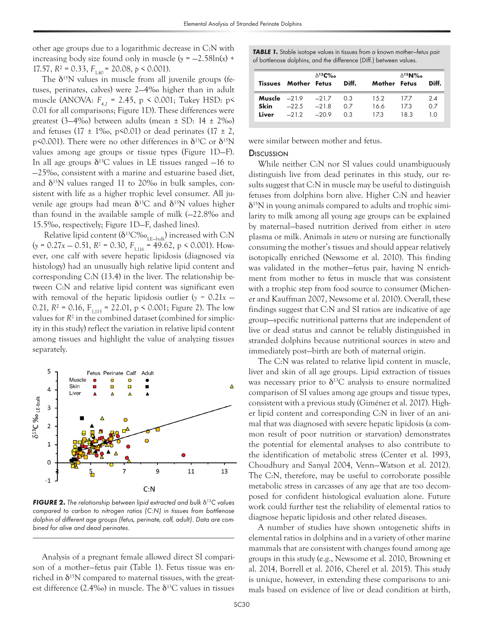other age groups due to a logarithmic decrease in C:N with increasing body size found only in muscle  $(y = -2.58\text{ln}(x) +$ 17.57,  $R^2 = 0.33$ ,  $F_{1,40} = 20.08$ ,  $p \le 0.001$ ).

The  $\delta^{15}N$  values in muscle from all juvenile groups (fetuses, perinates, calves) were 2—4‰ higher than in adult muscle (ANOVA:  $F_{42}$  = 2.45, p < 0.001; Tukey HSD: p< 0.01 for all comparisons; Figure 1D). These differences were greatest (3–4‰) between adults (mean  $\pm$  SD: 14  $\pm$  2‰) and fetuses (17  $\pm$  1\%, p\so, 0.01) or dead perinates (17  $\pm$  2, p<0.001). There were no other differences in  $\delta^{13}C$  or  $\delta^{15}N$ values among age groups or tissue types (Figure 1D—F). In all age groups  $\delta^{13}$ C values in LE tissues ranged  $-16$  to —25‰, consistent with a marine and estuarine based diet, and  $\delta^{15}N$  values ranged 11 to 20‰ in bulk samples, consistent with life as a higher trophic level consumer. All juvenile age groups had mean  $\delta^{13}$ C and  $\delta^{15}$ N values higher than found in the available sample of milk (—22.8‰ and 15.5‰, respectively; Figure 1D—F, dashed lines).

Relative lipid content  $(\delta^{13}C\%_{\rm{LE-bulk}})$  increased with C:N  $(y = 0.27x - 0.51, R^2 = 0.30, F<sub>1,116</sub> = 49.62, p < 0.001$ ). However, one calf with severe hepatic lipidosis (diagnosed via histology) had an unusually high relative lipid content and corresponding C:N (13.4) in the liver. The relationship between C:N and relative lipid content was significant even with removal of the hepatic lipidosis outlier ( $y = 0.21x$  – 0.21,  $R^2$  = 0.16,  $F_{1,115}$  = 22.01, p < 0.001; Figure 2). The low values for *R*<sup>2</sup> in the combined dataset (combined for simplicity in this study) reflect the variation in relative lipid content among tissues and highlight the value of analyzing tissues separately.



*FIGURE 2. The relationship between lipid extracted and bulk*  $\delta^{13}C$  *values compared to carbon to nitrogen ratios (C:N) in tissues from bottlenose dolphin of different age groups (fetus, perinate, calf, adult). Data are combined for alive and dead perinates.*

Analysis of a pregnant female allowed direct SI comparison of a mother—fetus pair (Table 1). Fetus tissue was enriched in  $\delta^{15}N$  compared to maternal tissues, with the greatest difference (2.4‰) in muscle. The  $\delta^{13}C$  values in tissues **TABLE 1.** Stable isotope values in tissues from a known mother-fetus pair of bottlenose dolphins, and the difference (Diff.) between values.

|               | <b>Tissues Mother Fetus</b>                                   | $\delta^{13}$ C% | Diff.             | Mother Fetus        | $\delta^{15}$ N%o | Diff.            |
|---------------|---------------------------------------------------------------|------------------|-------------------|---------------------|-------------------|------------------|
| Skin<br>Liver | <b>Muscle</b> $-219$ $-217$<br>$-22.5 - 21.8$<br>$-212 - 209$ |                  | 0.3<br>0 Z<br>0.3 | 1.5.2<br>166<br>173 | 177<br>173<br>183 | 24<br>0.7<br>1 ೧ |

were similar between mother and fetus.

#### **Discussion**

While neither C:N nor SI values could unambiguously distinguish live from dead perinates in this study, our results suggest that C:N in muscle may be useful to distinguish fetuses from dolphins born alive. Higher C:N and heavier  $\delta^{15}$ N in young animals compared to adults and trophic similarity to milk among all young age groups can be explained by maternal—based nutrition derived from either *in utero* plasma or milk. Animals *in utero* or nursing are functionally consuming the mother's tissues and should appear relatively isotopically enriched (Newsome et al. 2010). This finding was validated in the mother—fetus pair, having N enrichment from mother to fetus in muscle that was consistent with a trophic step from food source to consumer (Michener and Kauffman 2007, Newsome et al. 2010). Overall, these findings suggest that C:N and SI ratios are indicative of age group—specific nutritional patterns that are independent of live or dead status and cannot be reliably distinguished in stranded dolphins because nutritional sources *in utero* and immediately post—birth are both of maternal origin.

The C:N was related to relative lipid content in muscle, liver and skin of all age groups. Lipid extraction of tissues was necessary prior to  $\delta^{13}$ C analysis to ensure normalized comparison of SI values among age groups and tissue types, consistent with a previous study (Giménez et al. 2017). Higher lipid content and corresponding C:N in liver of an animal that was diagnosed with severe hepatic lipidosis (a common result of poor nutrition or starvation) demonstrates the potential for elemental analyses to also contribute to the identification of metabolic stress (Center et al. 1993, Choudhury and Sanyal 2004, Venn—Watson et al. 2012). The C:N, therefore, may be useful to corroborate possible metabolic stress in carcasses of any age that are too decomposed for confident histological evaluation alone. Future work could further test the reliability of elemental ratios to diagnose hepatic lipidosis and other related diseases.

A number of studies have shown ontogenetic shifts in elemental ratios in dolphins and in a variety of other marine mammals that are consistent with changes found among age groups in this study (e.g., Newsome et al. 2010, Browning et al. 2014, Borrell et al. 2016, Cherel et al. 2015). This study is unique, however, in extending these comparisons to animals based on evidence of live or dead condition at birth,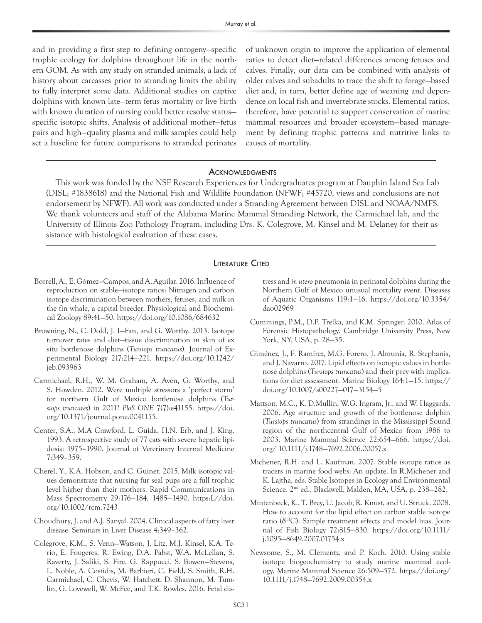and in providing a first step to defining ontogeny—specific trophic ecology for dolphins throughout life in the northern GOM. As with any study on stranded animals, a lack of history about carcasses prior to stranding limits the ability to fully interpret some data. Additional studies on captive dolphins with known late—term fetus mortality or live birth with known duration of nursing could better resolve status specific isotopic shifts. Analysis of additional mother—fetus pairs and high—quality plasma and milk samples could help set a baseline for future comparisons to stranded perinates

of unknown origin to improve the application of elemental ratios to detect diet—related differences among fetuses and calves. Finally, our data can be combined with analysis of older calves and subadults to trace the shift to forage—based diet and, in turn, better define age of weaning and dependence on local fish and invertebrate stocks. Elemental ratios, therefore, have potential to support conservation of marine mammal resources and broader ecosystem—based management by defining trophic patterns and nutritive links to causes of mortality.

#### **ACKNOWLEDGMENTS**

This work was funded by the NSF Research Experiences for Undergraduates program at Dauphin Island Sea Lab (DISL; #1838618) and the National Fish and Wildlife Foundation (NFWF; #45720, views and conclusions are not endorsement by NFWF). All work was conducted under a Stranding Agreement between DISL and NOAA/NMFS. We thank volunteers and staff of the Alabama Marine Mammal Stranding Network, the Carmichael lab, and the University of Illinois Zoo Pathology Program, including Drs. K. Colegrove, M. Kinsel and M. Delaney for their assistance with histological evaluation of these cases.

#### **LITERATURE CITED**

- Borrell, A., E. Gómez—Campos, and A. Aguilar. 2016. Influence of reproduction on stable—isotope ratios: Nitrogen and carbon isotope discrimination between mothers, fetuses, and milk in the fin whale, a capital breeder. Physiological and Biochemical Zoology 89:41—50. https://doi.org/10.1086/684632
- Browning, N., C. Dold, J. I—Fan, and G. Worthy. 2013. Isotope turnover rates and diet—tissue discrimination in skin of ex situ bottlenose dolphins (*Tursiops truncatus*). Journal of Experimental Biology 217:214—221. https://doi.org/10.1242/ jeb.093963
- Carmichael, R.H., W. M. Graham, A. Aven, G. Worthy, and S. Howden. 2012. Were multiple stressors a 'perfect storm' for northern Gulf of Mexico bottlenose dolphins (*Tursiops truncates*) in 2011? *PloS ONE* 7(7):e41155. https://doi. org/10.1371/journal.pone.0041155.
- Center, S.A., M.A Crawford, L. Guida, H.N. Erb, and J. King. 1993. A retrospective study of 77 cats with severe hepatic lipidosis: 1975–1990. Journal of Veterinary Internal Medicine 7:349–359.
- Cherel, Y., K.A. Hobson, and C. Guinet. 2015. Milk isotopic values demonstrate that nursing fur seal pups are a full trophic level higher than their mothers. Rapid Communications in Mass Spectrometry 29:176—184, 1485—1490. https:L//doi. org/10.1002/rcm.7243
- Choudhury, J. and A.J. Sanyal. 2004. Clinical aspects of fatty liver disease. Seminars in Liver Disease 4:349–362.
- Colegrove, K.M., S. Venn—Watson, J. Litz, M.J. Kinsel, K.A. Terio, E. Fougeres, R. Ewing, D.A. Pabst, W.A. McLellan, S. Raverty, J. Saliki, S. Fire, G. Rappucci, S. Bowen—Stevens, L. Noble, A. Costidis, M. Barbieri, C. Field, S. Smith, R.H. Carmichael, C. Chevis, W. Hatchett, D. Shannon, M. Tumlin, G. Lovewell, W. McFee, and T.K. Rowles. 2016. Fetal dis-

tress and *in utero* pneumonia in perinatal dolphins during the Northern Gulf of Mexico unusual mortality event. Diseases of Aquatic Organisms 119:1—16. https://doi.org/10.3354/ dao02969

- Cummings, P.M., D.P. Trelka, and K.M. Springer. 2010. Atlas of Forensic Histopathology. Cambridge University Press, New York, NY, USA, p. 28—35.
- Giménez, J., F. Ramírez, M.G. Forero, J. Almunia, R. Stephanis, and J. Navarro. 2017. Lipid effects on isotopic values in bottlenose dolphins (*Tursiops truncatus*) and their prey with implications for diet assessment. Marine Biology 164:1—15. https:// doi.org/10.1007/s00227—017—3154—5
- Mattson, M.C., K. D.Mullin, W.G. Ingram, Jr., and W. Haggards. 2006. Age structure and growth of the bottlenose dolphin (*Tursiops truncatus*) from strandings in the Mississippi Sound region of the northcentral Gulf of Mexico from 1986 to 2003. Marine Mammal Science 22:654—666. https://doi. org/ 10.1111/j.1748—7692.2006.00057.x
- Michener, R.H. and L. Kaufman. 2007. Stable isotope ratios as tracers in marine food webs: An update. In R.Michener and K. Lajtha, eds. Stable Isotopes in Ecology and Environmental Science. 2nd ed., Blackwell, Malden, MA, USA, p. 238—282.
- Mintenbeck, K., T. Brey, U. Jacob, R. Knust, and U. Struck. 2008. How to account for the lipid effect on carbon stable isotope ratio ( $\delta^{13}$ C): Sample treatment effects and model bias. Journal of Fish Biology 72:815—830. https://doi.org/10.1111/ j.1095—8649.2007.01754.x
- Newsome, S., M. Clementz, and P. Koch. 2010. Using stable isotope biogeochemistry to study marine mammal ecology. Marine Mammal Science 26:509—572. https://doi.org/ 10.1111/j.1748—7692.2009.00354.x